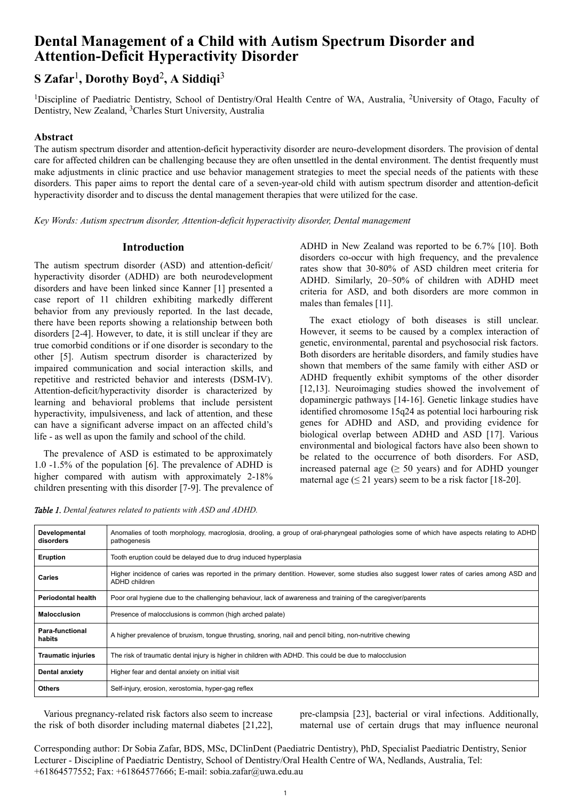# **Dental Management of a Child with Autism Spectrum Disorder and Attention-Deficit Hyperactivity Disorder**

# **S Zafar**<sup>1</sup> **, Dorothy Boyd**<sup>2</sup> **, A Siddiqi**<sup>3</sup>

<sup>1</sup>Discipline of Paediatric Dentistry, School of Dentistry/Oral Health Centre of WA, Australia, <sup>2</sup>University of Otago, Faculty of Dentistry, New Zealand, 3Charles Sturt University, Australia

# **Abstract**

The autism spectrum disorder and attention-deficit hyperactivity disorder are neuro-development disorders. The provision of dental care for affected children can be challenging because they are often unsettled in the dental environment. The dentist frequently must make adjustments in clinic practice and use behavior management strategies to meet the special needs of the patients with these disorders. This paper aims to report the dental care of a seven-year-old child with autism spectrum disorder and attention-deficit hyperactivity disorder and to discuss the dental management therapies that were utilized for the case.

*Key Words: Autism spectrum disorder, Attention-deficit hyperactivity disorder, Dental management*

# **Introduction**

The autism spectrum disorder (ASD) and attention-deficit/ hyperactivity disorder (ADHD) are both neurodevelopment disorders and have been linked since Kanner [1] presented a case report of 11 children exhibiting markedly different behavior from any previously reported. In the last decade, there have been reports showing a relationship between both disorders [2-4]. However, to date, it is still unclear if they are true comorbid conditions or if one disorder is secondary to the other [5]. Autism spectrum disorder is characterized by impaired communication and social interaction skills, and repetitive and restricted behavior and interests (DSM-IV). Attention-deficit/hyperactivity disorder is characterized by learning and behavioral problems that include persistent hyperactivity, impulsiveness, and lack of attention, and these can have a significant adverse impact on an affected child's life - as well as upon the family and school of the child.

The prevalence of ASD is estimated to be approximately 1.0 -1.5% of the population [6]. The prevalence of ADHD is higher compared with autism with approximately 2-18% children presenting with this disorder [7-9]. The prevalence of

*Table 1. Dental features related to patients with ASD and ADHD.*

ADHD in New Zealand was reported to be 6.7% [10]. Both disorders co-occur with high frequency, and the prevalence rates show that 30-80% of ASD children meet criteria for ADHD. Similarly, 20–50% of children with ADHD meet criteria for ASD, and both disorders are more common in males than females [11].

The exact etiology of both diseases is still unclear. However, it seems to be caused by a complex interaction of genetic, environmental, parental and psychosocial risk factors. Both disorders are heritable disorders, and family studies have shown that members of the same family with either ASD or ADHD frequently exhibit symptoms of the other disorder [12,13]. Neuroimaging studies showed the involvement of dopaminergic pathways [14-16]. Genetic linkage studies have identified chromosome 15q24 as potential loci harbouring risk genes for ADHD and ASD, and providing evidence for biological overlap between ADHD and ASD [17]. Various environmental and biological factors have also been shown to be related to the occurrence of both disorders. For ASD, increased paternal age  $(≥ 50 \text{ years})$  and for ADHD younger maternal age  $(\leq 21$  years) seem to be a risk factor [18-20].

| Developmental<br>disorders | Anomalies of tooth morphology, macroglosia, drooling, a group of oral-pharyngeal pathologies some of which have aspects relating to ADHD<br>pathogenesis  |
|----------------------------|-----------------------------------------------------------------------------------------------------------------------------------------------------------|
| Eruption                   | Tooth eruption could be delayed due to drug induced hyperplasia                                                                                           |
| <b>Caries</b>              | Higher incidence of caries was reported in the primary dentition. However, some studies also suggest lower rates of caries among ASD and<br>ADHD children |
| <b>Periodontal health</b>  | Poor oral hygiene due to the challenging behaviour, lack of awareness and training of the caregiver/parents                                               |
| <b>Malocclusion</b>        | Presence of malocclusions is common (high arched palate)                                                                                                  |
| Para-functional<br>habits  | A higher prevalence of bruxism, tongue thrusting, snoring, nail and pencil biting, non-nutritive chewing                                                  |
| <b>Traumatic injuries</b>  | The risk of traumatic dental injury is higher in children with ADHD. This could be due to malocclusion                                                    |
| Dental anxiety             | Higher fear and dental anxiety on initial visit                                                                                                           |
| <b>Others</b>              | Self-injury, erosion, xerostomia, hyper-gag reflex                                                                                                        |

Various pregnancy-related risk factors also seem to increase the risk of both disorder including maternal diabetes [21,22], pre-clampsia [23], bacterial or viral infections. Additionally, maternal use of certain drugs that may influence neuronal

Corresponding author: Dr Sobia Zafar, BDS, MSc, DClinDent (Paediatric Dentistry), PhD, Specialist Paediatric Dentistry, Senior Lecturer - Discipline of Paediatric Dentistry, School of Dentistry/Oral Health Centre of WA, Nedlands, Australia, Tel: +61864577552; Fax: +61864577666; E-mail: sobia.zafar@uwa.edu.au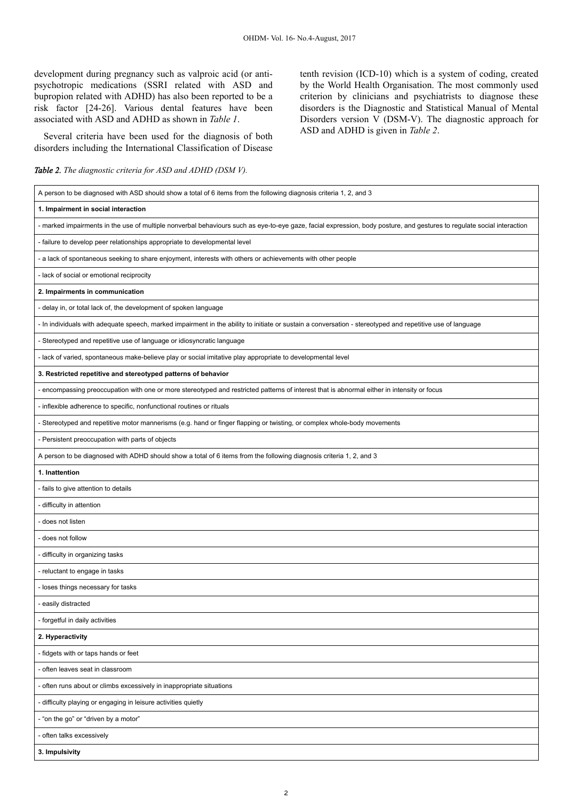development during pregnancy such as valproic acid (or antipsychotropic medications (SSRI related with ASD and bupropion related with ADHD) has also been reported to be a risk factor [24-26]. Various dental features have been associated with ASD and ADHD as shown in *Table 1*.

Several criteria have been used for the diagnosis of both disorders including the International Classification of Disease

*Table 2. The diagnostic criteria for ASD and ADHD (DSM V).*

tenth revision (ICD-10) which is a system of coding, created by the World Health Organisation. The most commonly used criterion by clinicians and psychiatrists to diagnose these disorders is the Diagnostic and Statistical Manual of Mental Disorders version V (DSM-V). The diagnostic approach for ASD and ADHD is given in *Table 2*.

| A person to be diagnosed with ASD should show a total of 6 items from the following diagnosis criteria 1, 2, and 3                                                     |  |  |
|------------------------------------------------------------------------------------------------------------------------------------------------------------------------|--|--|
| 1. Impairment in social interaction                                                                                                                                    |  |  |
| - marked impairments in the use of multiple nonverbal behaviours such as eye-to-eye gaze, facial expression, body posture, and gestures to regulate social interaction |  |  |
| - failure to develop peer relationships appropriate to developmental level                                                                                             |  |  |
| - a lack of spontaneous seeking to share enjoyment, interests with others or achievements with other people                                                            |  |  |
| - lack of social or emotional reciprocity                                                                                                                              |  |  |
| 2. Impairments in communication                                                                                                                                        |  |  |
| - delay in, or total lack of, the development of spoken language                                                                                                       |  |  |
| - In individuals with adequate speech, marked impairment in the ability to initiate or sustain a conversation - stereotyped and repetitive use of language             |  |  |
| - Stereotyped and repetitive use of language or idiosyncratic language                                                                                                 |  |  |
| - lack of varied, spontaneous make-believe play or social imitative play appropriate to developmental level                                                            |  |  |
| 3. Restricted repetitive and stereotyped patterns of behavior                                                                                                          |  |  |
| - encompassing preoccupation with one or more stereotyped and restricted patterns of interest that is abnormal either in intensity or focus                            |  |  |
| - inflexible adherence to specific, nonfunctional routines or rituals                                                                                                  |  |  |
| - Stereotyped and repetitive motor mannerisms (e.g. hand or finger flapping or twisting, or complex whole-body movements                                               |  |  |
| - Persistent preoccupation with parts of objects                                                                                                                       |  |  |
| A person to be diagnosed with ADHD should show a total of 6 items from the following diagnosis criteria 1, 2, and 3                                                    |  |  |
| 1. Inattention                                                                                                                                                         |  |  |
| - fails to give attention to details                                                                                                                                   |  |  |
| - difficulty in attention                                                                                                                                              |  |  |
| - does not listen                                                                                                                                                      |  |  |
| - does not follow                                                                                                                                                      |  |  |
| - difficulty in organizing tasks                                                                                                                                       |  |  |
| - reluctant to engage in tasks                                                                                                                                         |  |  |
| - loses things necessary for tasks                                                                                                                                     |  |  |
| - easily distracted                                                                                                                                                    |  |  |
| - forgetful in daily activities                                                                                                                                        |  |  |
| 2. Hyperactivity                                                                                                                                                       |  |  |
| - fidgets with or taps hands or feet                                                                                                                                   |  |  |
| - often leaves seat in classroom                                                                                                                                       |  |  |
| - often runs about or climbs excessively in inappropriate situations                                                                                                   |  |  |
| - difficulty playing or engaging in leisure activities quietly                                                                                                         |  |  |
| - "on the go" or "driven by a motor"                                                                                                                                   |  |  |
| - often talks excessively                                                                                                                                              |  |  |
| 3. Impulsivity                                                                                                                                                         |  |  |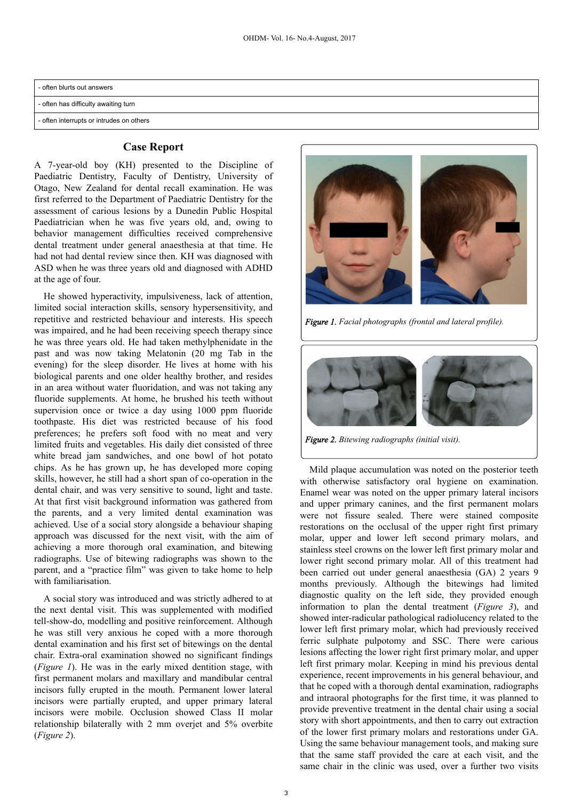| - often blurts out answers               |  |  |
|------------------------------------------|--|--|
| - often has difficulty awaiting turn     |  |  |
| - often interrupts or intrudes on others |  |  |

#### **Case Report**

A 7-year-old boy (KH) presented to the Discipline of Paediatric Dentistry, Faculty of Dentistry, University of Otago, New Zealand for dental recall examination. He was first referred to the Department of Paediatric Dentistry for the assessment of carious lesions by a Dunedin Public Hospital Paediatrician when he was five years old, and, owing to behavior management difficulties received comprehensive dental treatment under general anaesthesia at that time. He had not had dental review since then. KH was diagnosed with ASD when he was three years old and diagnosed with ADHD at the age of four.

He showed hyperactivity, impulsiveness, lack of attention, limited social interaction skills, sensory hypersensitivity, and repetitive and restricted behaviour and interests. His speech was impaired, and he had been receiving speech therapy since he was three years old. He had taken methylphenidate in the past and was now taking Melatonin (20 mg Tab in the evening) for the sleep disorder. He lives at home with his biological parents and one older healthy brother, and resides in an area without water fluoridation, and was not taking any fluoride supplements. At home, he brushed his teeth without supervision once or twice a day using 1000 ppm fluoride toothpaste. His diet was restricted because of his food preferences; he prefers soft food with no meat and very limited fruits and vegetables. His daily diet consisted of three white bread jam sandwiches, and one bowl of hot potato chips. As he has grown up, he has developed more coping skills, however, he still had a short span of co-operation in the dental chair, and was very sensitive to sound, light and taste. At that first visit background information was gathered from the parents, and a very limited dental examination was achieved. Use of a social story alongside a behaviour shaping approach was discussed for the next visit, with the aim of achieving a more thorough oral examination, and bitewing radiographs. Use of bitewing radiographs was shown to the parent, and a "practice film" was given to take home to help with familiarisation.

A social story was introduced and was strictly adhered to at the next dental visit. This was supplemented with modified tell-show-do, modelling and positive reinforcement. Although he was still very anxious he coped with a more thorough dental examination and his first set of bitewings on the dental chair. Extra-oral examination showed no significant findings (*Figure 1*). He was in the early mixed dentition stage, with first permanent molars and maxillary and mandibular central incisors fully erupted in the mouth. Permanent lower lateral incisors were partially erupted, and upper primary lateral incisors were mobile. Occlusion showed Class II molar relationship bilaterally with 2 mm overjet and 5% overbite (*Figure 2*).



*Figure 1. Facial photographs (frontal and lateral profile).*



*Figure 2. Bitewing radiographs (initial visit).*

Mild plaque accumulation was noted on the posterior teeth with otherwise satisfactory oral hygiene on examination. Enamel wear was noted on the upper primary lateral incisors and upper primary canines, and the first permanent molars were not fissure sealed. There were stained composite restorations on the occlusal of the upper right first primary molar, upper and lower left second primary molars, and stainless steel crowns on the lower left first primary molar and lower right second primary molar. All of this treatment had been carried out under general anaesthesia (GA) 2 years 9 months previously. Although the bitewings had limited diagnostic quality on the left side, they provided enough information to plan the dental treatment (*Figure 3*), and showed inter-radicular pathological radiolucency related to the lower left first primary molar, which had previously received ferric sulphate pulpotomy and SSC. There were carious lesions affecting the lower right first primary molar, and upper left first primary molar. Keeping in mind his previous dental experience, recent improvements in his general behaviour, and that he coped with a thorough dental examination, radiographs and intraoral photographs for the first time, it was planned to provide preventive treatment in the dental chair using a social story with short appointments, and then to carry out extraction of the lower first primary molars and restorations under GA. Using the same behaviour management tools, and making sure that the same staff provided the care at each visit, and the same chair in the clinic was used, over a further two visits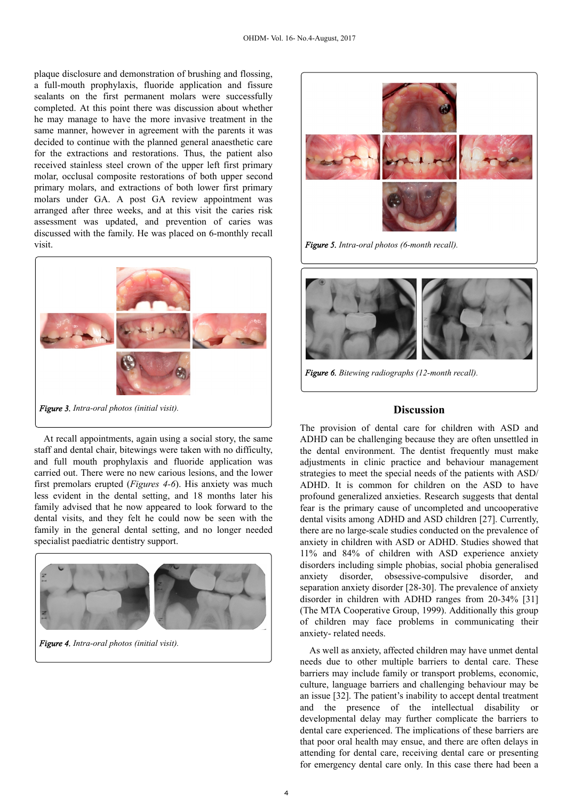plaque disclosure and demonstration of brushing and flossing, a full-mouth prophylaxis, fluoride application and fissure sealants on the first permanent molars were successfully completed. At this point there was discussion about whether he may manage to have the more invasive treatment in the same manner, however in agreement with the parents it was decided to continue with the planned general anaesthetic care for the extractions and restorations. Thus, the patient also received stainless steel crown of the upper left first primary molar, occlusal composite restorations of both upper second primary molars, and extractions of both lower first primary molars under GA. A post GA review appointment was arranged after three weeks, and at this visit the caries risk assessment was updated, and prevention of caries was discussed with the family. He was placed on 6-monthly recall visit.



At recall appointments, again using a social story, the same staff and dental chair, bitewings were taken with no difficulty, and full mouth prophylaxis and fluoride application was carried out. There were no new carious lesions, and the lower first premolars erupted (*Figures 4-6*). His anxiety was much less evident in the dental setting, and 18 months later his family advised that he now appeared to look forward to the dental visits, and they felt he could now be seen with the family in the general dental setting, and no longer needed specialist paediatric dentistry support.



*Figure 4. Intra-oral photos (initial visit).*



*Figure 5. Intra-oral photos (6-month recall).*



*Figure 6. Bitewing radiographs (12-month recall).*

### **Discussion**

The provision of dental care for children with ASD and ADHD can be challenging because they are often unsettled in the dental environment. The dentist frequently must make adjustments in clinic practice and behaviour management strategies to meet the special needs of the patients with ASD/ ADHD. It is common for children on the ASD to have profound generalized anxieties. Research suggests that dental fear is the primary cause of uncompleted and uncooperative dental visits among ADHD and ASD children [27]. Currently, there are no large-scale studies conducted on the prevalence of anxiety in children with ASD or ADHD. Studies showed that 11% and 84% of children with ASD experience anxiety disorders including simple phobias, social phobia generalised anxiety disorder, obsessive-compulsive disorder, and separation anxiety disorder [28-30]. The prevalence of anxiety disorder in children with ADHD ranges from 20-34% [31] (The MTA Cooperative Group, 1999). Additionally this group of children may face problems in communicating their anxiety- related needs.

As well as anxiety, affected children may have unmet dental needs due to other multiple barriers to dental care. These barriers may include family or transport problems, economic, culture, language barriers and challenging behaviour may be an issue [32]. The patient's inability to accept dental treatment and the presence of the intellectual disability or developmental delay may further complicate the barriers to dental care experienced. The implications of these barriers are that poor oral health may ensue, and there are often delays in attending for dental care, receiving dental care or presenting for emergency dental care only. In this case there had been a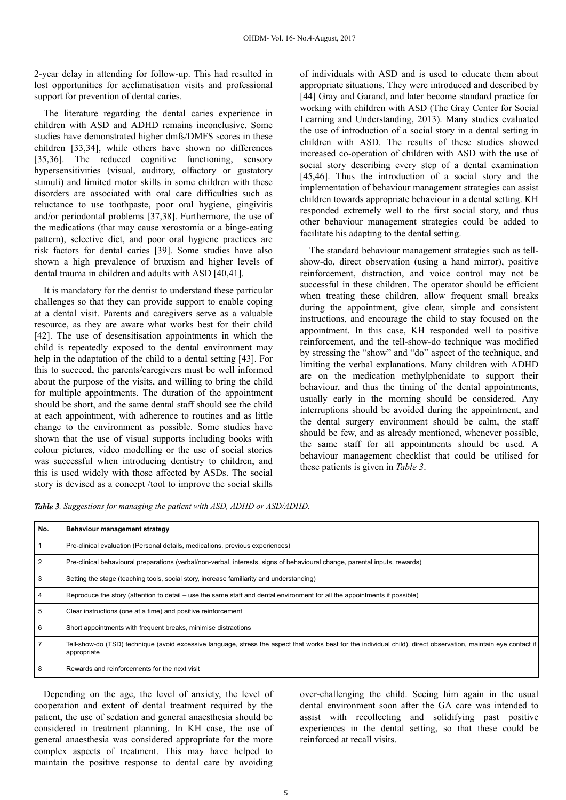2-year delay in attending for follow-up. This had resulted in lost opportunities for acclimatisation visits and professional support for prevention of dental caries.

The literature regarding the dental caries experience in children with ASD and ADHD remains inconclusive. Some studies have demonstrated higher dmfs/DMFS scores in these children [33,34], while others have shown no differences [35,36]. The reduced cognitive functioning, sensory hypersensitivities (visual, auditory, olfactory or gustatory stimuli) and limited motor skills in some children with these disorders are associated with oral care difficulties such as reluctance to use toothpaste, poor oral hygiene, gingivitis and/or periodontal problems [37,38]. Furthermore, the use of the medications (that may cause xerostomia or a binge-eating pattern), selective diet, and poor oral hygiene practices are risk factors for dental caries [39]. Some studies have also shown a high prevalence of bruxism and higher levels of dental trauma in children and adults with ASD [40,41].

It is mandatory for the dentist to understand these particular challenges so that they can provide support to enable coping at a dental visit. Parents and caregivers serve as a valuable resource, as they are aware what works best for their child [42]. The use of desensitisation appointments in which the child is repeatedly exposed to the dental environment may help in the adaptation of the child to a dental setting [43]. For this to succeed, the parents/caregivers must be well informed about the purpose of the visits, and willing to bring the child for multiple appointments. The duration of the appointment should be short, and the same dental staff should see the child at each appointment, with adherence to routines and as little change to the environment as possible. Some studies have shown that the use of visual supports including books with colour pictures, video modelling or the use of social stories was successful when introducing dentistry to children, and this is used widely with those affected by ASDs. The social story is devised as a concept /tool to improve the social skills

of individuals with ASD and is used to educate them about appropriate situations. They were introduced and described by [44] Gray and Garand, and later become standard practice for working with children with ASD (The Gray Center for Social Learning and Understanding, 2013). Many studies evaluated the use of introduction of a social story in a dental setting in children with ASD. The results of these studies showed increased co-operation of children with ASD with the use of social story describing every step of a dental examination [45,46]. Thus the introduction of a social story and the implementation of behaviour management strategies can assist children towards appropriate behaviour in a dental setting. KH responded extremely well to the first social story, and thus other behaviour management strategies could be added to facilitate his adapting to the dental setting.

The standard behaviour management strategies such as tellshow-do, direct observation (using a hand mirror), positive reinforcement, distraction, and voice control may not be successful in these children. The operator should be efficient when treating these children, allow frequent small breaks during the appointment, give clear, simple and consistent instructions, and encourage the child to stay focused on the appointment. In this case, KH responded well to positive reinforcement, and the tell-show-do technique was modified by stressing the "show" and "do" aspect of the technique, and limiting the verbal explanations. Many children with ADHD are on the medication methylphenidate to support their behaviour, and thus the timing of the dental appointments, usually early in the morning should be considered. Any interruptions should be avoided during the appointment, and the dental surgery environment should be calm, the staff should be few, and as already mentioned, whenever possible, the same staff for all appointments should be used. A behaviour management checklist that could be utilised for these patients is given in *Table 3*.

*Table 3. Suggestions for managing the patient with ASD, ADHD or ASD/ADHD.*

| No. | Behaviour management strategy                                                                                                                                                   |
|-----|---------------------------------------------------------------------------------------------------------------------------------------------------------------------------------|
|     | Pre-clinical evaluation (Personal details, medications, previous experiences)                                                                                                   |
| 2   | Pre-clinical behavioural preparations (verbal/non-verbal, interests, signs of behavioural change, parental inputs, rewards)                                                     |
| 3   | Setting the stage (teaching tools, social story, increase familiarity and understanding)                                                                                        |
|     | Reproduce the story (attention to detail – use the same staff and dental environment for all the appointments if possible)                                                      |
| 5   | Clear instructions (one at a time) and positive reinforcement                                                                                                                   |
| 6   | Short appointments with frequent breaks, minimise distractions                                                                                                                  |
|     | Tell-show-do (TSD) technique (avoid excessive language, stress the aspect that works best for the individual child), direct observation, maintain eye contact if<br>appropriate |
| 8   | Rewards and reinforcements for the next visit                                                                                                                                   |

Depending on the age, the level of anxiety, the level of cooperation and extent of dental treatment required by the patient, the use of sedation and general anaesthesia should be considered in treatment planning. In KH case, the use of general anaesthesia was considered appropriate for the more complex aspects of treatment. This may have helped to maintain the positive response to dental care by avoiding

over-challenging the child. Seeing him again in the usual dental environment soon after the GA care was intended to assist with recollecting and solidifying past positive experiences in the dental setting, so that these could be reinforced at recall visits.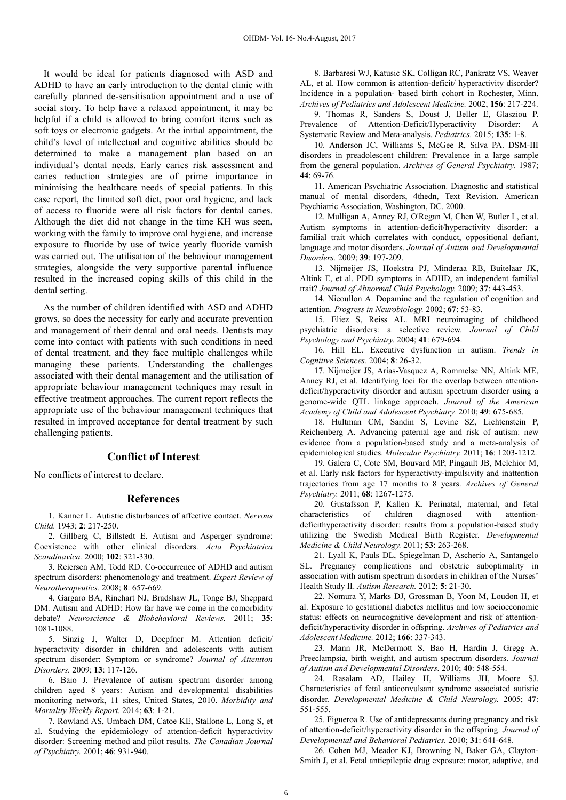It would be ideal for patients diagnosed with ASD and ADHD to have an early introduction to the dental clinic with carefully planned de-sensitisation appointment and a use of social story. To help have a relaxed appointment, it may be helpful if a child is allowed to bring comfort items such as soft toys or electronic gadgets. At the initial appointment, the child's level of intellectual and cognitive abilities should be determined to make a management plan based on an individual's dental needs. Early caries risk assessment and caries reduction strategies are of prime importance in minimising the healthcare needs of special patients. In this case report, the limited soft diet, poor oral hygiene, and lack of access to fluoride were all risk factors for dental caries. Although the diet did not change in the time KH was seen, working with the family to improve oral hygiene, and increase exposure to fluoride by use of twice yearly fluoride varnish was carried out. The utilisation of the behaviour management strategies, alongside the very supportive parental influence resulted in the increased coping skills of this child in the dental setting.

As the number of children identified with ASD and ADHD grows, so does the necessity for early and accurate prevention and management of their dental and oral needs. Dentists may come into contact with patients with such conditions in need of dental treatment, and they face multiple challenges while managing these patients. Understanding the challenges associated with their dental management and the utilisation of appropriate behaviour management techniques may result in effective treatment approaches. The current report reflects the appropriate use of the behaviour management techniques that resulted in improved acceptance for dental treatment by such challenging patients.

# **Conflict of Interest**

No conflicts of interest to declare.

#### **References**

1. Kanner L. Autistic disturbances of affective contact. *Nervous Child.* 1943; **2**: 217-250.

2. Gillberg C, Billstedt E. Autism and Asperger syndrome: Coexistence with other clinical disorders. *Acta Psychiatrica Scandinavica.* 2000; **102**: 321-330.

3. Reiersen AM, Todd RD. Co-occurrence of ADHD and autism spectrum disorders: phenomenology and treatment. *Expert Review of Neurotherapeutics.* 2008; **8**: 657-669.

4. Gargaro BA, Rinehart NJ, Bradshaw JL, Tonge BJ, Sheppard DM. Autism and ADHD: How far have we come in the comorbidity debate? *Neuroscience & Biobehavioral Reviews.* 2011; **35**: 1081-1088.

5. Sinzig J, Walter D, Doepfner M. Attention deficit/ hyperactivity disorder in children and adolescents with autism spectrum disorder: Symptom or syndrome? *Journal of Attention Disorders.* 2009; **13**: 117-126.

6. Baio J. Prevalence of autism spectrum disorder among children aged 8 years: Autism and developmental disabilities monitoring network, 11 sites, United States, 2010. *Morbidity and Mortality Weekly Report.* 2014; **63**: 1-21.

7. Rowland AS, Umbach DM, Catoe KE, Stallone L, Long S, et al. Studying the epidemiology of attention-deficit hyperactivity disorder: Screening method and pilot results. *The Canadian Journal of Psychiatry.* 2001; **46**: 931-940.

8. Barbaresi WJ, Katusic SK, Colligan RC, Pankratz VS, Weaver AL, et al. How common is attention-deficit/ hyperactivity disorder? Incidence in a population- based birth cohort in Rochester, Minn. *Archives of Pediatrics and Adolescent Medicine.* 2002; **156**: 217-224.

9. Thomas R, Sanders S, Doust J, Beller E, Glasziou P. Prevalence of Attention-Deficit/Hyperactivity Disorder: A Systematic Review and Meta-analysis. *Pediatrics.* 2015; **135**: 1-8.

10. Anderson JC, Williams S, McGee R, Silva PA. DSM-III disorders in preadolescent children: Prevalence in a large sample from the general population. *Archives of General Psychiatry.* 1987; **44**: 69-76.

11. American Psychiatric Association. Diagnostic and statistical manual of mental disorders, 4thedn, Text Revision. American Psychiatric Association, Washington, DC. 2000.

12. Mulligan A, Anney RJ, O'Regan M, Chen W, Butler L, et al. Autism symptoms in attention-deficit/hyperactivity disorder: a familial trait which correlates with conduct, oppositional defiant, language and motor disorders. *Journal of Autism and Developmental Disorders.* 2009; **39**: 197-209.

13. Nijmeijer JS, Hoekstra PJ, Minderaa RB, Buitelaar JK, Altink E, et al. PDD symptoms in ADHD, an independent familial trait? *Journal of Abnormal Child Psychology.* 2009; **37**: 443-453.

14. Nieoullon A. Dopamine and the regulation of cognition and attention. *Progress in Neurobiology.* 2002; **67**: 53-83.

15. Eliez S, Reiss AL. MRI neuroimaging of childhood psychiatric disorders: a selective review. *Journal of Child Psychology and Psychiatry.* 2004; **41**: 679-694.

16. Hill EL. Executive dysfunction in autism. *Trends in Cognitive Sciences.* 2004; **8**: 26-32.

17. Nijmeijer JS, Arias-Vasquez A, Rommelse NN, Altink ME, Anney RJ, et al. Identifying loci for the overlap between attentiondeficit/hyperactivity disorder and autism spectrum disorder using a genome-wide QTL linkage approach. *Journal of the American Academy of Child and Adolescent Psychiatry.* 2010; **49**: 675-685.

18. Hultman CM, Sandin S, Levine SZ, Lichtenstein P, Reichenberg A. Advancing paternal age and risk of autism: new evidence from a population-based study and a meta-analysis of epidemiological studies. *Molecular Psychiatry.* 2011; **16**: 1203-1212.

19. Galera C, Cote SM, Bouvard MP, Pingault JB, Melchior M, et al. Early risk factors for hyperactivity-impulsivity and inattention trajectories from age 17 months to 8 years. *Archives of General Psychiatry.* 2011; **68**: 1267-1275.

20. Gustafsson P, Kallen K. Perinatal, maternal, and fetal characteristics of children diagnosed with attentiondeficithyperactivity disorder: results from a population-based study utilizing the Swedish Medical Birth Register. *Developmental Medicine & Child Neurology.* 2011; **53**: 263-268.

21. Lyall K, Pauls DL, Spiegelman D, Ascherio A, Santangelo SL. Pregnancy complications and obstetric suboptimality in association with autism spectrum disorders in children of the Nurses' Health Study II. *Autism Research.* 2012; **5**: 21-30.

22. Nomura Y, Marks DJ, Grossman B, Yoon M, Loudon H, et al. Exposure to gestational diabetes mellitus and low socioeconomic status: effects on neurocognitive development and risk of attentiondeficit/hyperactivity disorder in offspring. *Archives of Pediatrics and Adolescent Medicine.* 2012; **166**: 337-343.

23. Mann JR, McDermott S, Bao H, Hardin J, Gregg A. Preeclampsia, birth weight, and autism spectrum disorders. *Journal of Autism and Developmental Disorders.* 2010; **40**: 548-554.

24. Rasalam AD, Hailey H, Williams JH, Moore SJ. Characteristics of fetal anticonvulsant syndrome associated autistic disorder. *Developmental Medicine & Child Neurology.* 2005; **47**: 551-555.

25. Figueroa R. Use of antidepressants during pregnancy and risk of attention-deficit/hyperactivity disorder in the offspring. *Journal of Developmental and Behavioral Pediatrics.* 2010; **31**: 641-648.

26. Cohen MJ, Meador KJ, Browning N, Baker GA, Clayton-Smith J, et al. Fetal antiepileptic drug exposure: motor, adaptive, and